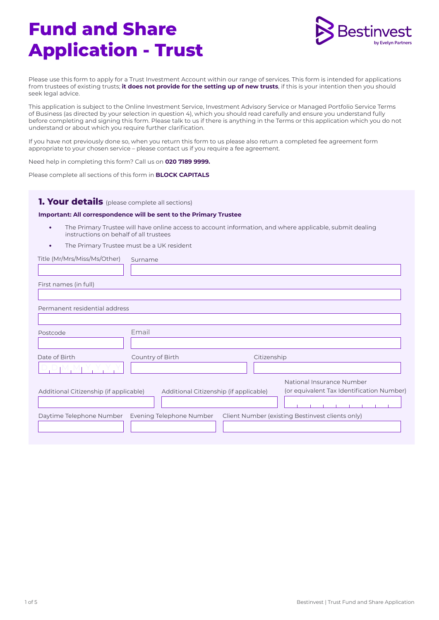# **Fund and Share Application - Trust**



Please use this form to apply for a Trust Investment Account within our range of services. This form is intended for applications from trustees of existing trusts; **it does not provide for the setting up of new trusts**, if this is your intention then you should seek legal advice.

This application is subject to the Online Investment Service, Investment Advisory Service or Managed Portfolio Service Terms of Business (as directed by your selection in question 4), which you should read carefully and ensure you understand fully before completing and signing this form. Please talk to us if there is anything in the Terms or this application which you do not understand or about which you require further clarification.

If you have not previously done so, when you return this form to us please also return a completed fee agreement form appropriate to your chosen service – please contact us if you require a fee agreement.

Need help in completing this form? Call us on **020 7189 9999.** 

Please complete all sections of this form in **BLOCK CAPITALS**

#### **1. Your details** (please complete all sections)

#### **Important: All correspondence will be sent to the Primary Trustee**

- **•** The Primary Trustee will have online access to account information, and where applicable, submit dealing instructions on behalf of all trustees
- **•** The Primary Trustee must be a UK resident

| Title (Mr/Mrs/Miss/Ms/Other)           | Surname                                                                             |
|----------------------------------------|-------------------------------------------------------------------------------------|
|                                        |                                                                                     |
| First names (in full)                  |                                                                                     |
| Permanent residential address          |                                                                                     |
| Postcode                               | Email                                                                               |
| Date of Birth                          | Citizenship<br>Country of Birth                                                     |
|                                        |                                                                                     |
|                                        | National Insurance Number                                                           |
| Additional Citizenship (if applicable) | (or equivalent Tax Identification Number)<br>Additional Citizenship (if applicable) |
| Daytime Telephone Number               | Evening Telephone Number<br>Client Number (existing Bestinvest clients only)        |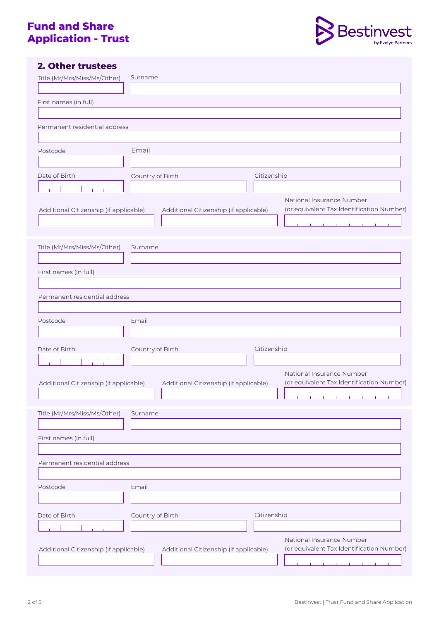# **Fund and Share Application - Trust**



## **2. Other trustees**

| Title (Mr/Mrs/Miss/Ms/Other)           | Surname                                                                                                                                                                                                                              |                                           |
|----------------------------------------|--------------------------------------------------------------------------------------------------------------------------------------------------------------------------------------------------------------------------------------|-------------------------------------------|
|                                        |                                                                                                                                                                                                                                      |                                           |
| First names (in full)                  |                                                                                                                                                                                                                                      |                                           |
|                                        |                                                                                                                                                                                                                                      |                                           |
| Permanent residential address          |                                                                                                                                                                                                                                      |                                           |
|                                        |                                                                                                                                                                                                                                      |                                           |
| Postcode                               | Email                                                                                                                                                                                                                                |                                           |
|                                        |                                                                                                                                                                                                                                      |                                           |
| Date of Birth                          | Citizenship<br>Country of Birth                                                                                                                                                                                                      |                                           |
| and the property of the                |                                                                                                                                                                                                                                      |                                           |
| Additional Citizenship (if applicable) | National Insurance Number<br>Additional Citizenship (if applicable)<br>the contract of the contract of                                                                                                                               | (or equivalent Tax Identification Number) |
|                                        |                                                                                                                                                                                                                                      |                                           |
| Title (Mr/Mrs/Miss/Ms/Other)           | Surname                                                                                                                                                                                                                              |                                           |
|                                        |                                                                                                                                                                                                                                      |                                           |
| First names (in full)                  |                                                                                                                                                                                                                                      |                                           |
|                                        |                                                                                                                                                                                                                                      |                                           |
| Permanent residential address          |                                                                                                                                                                                                                                      |                                           |
|                                        |                                                                                                                                                                                                                                      |                                           |
| Postcode                               | Email                                                                                                                                                                                                                                |                                           |
|                                        |                                                                                                                                                                                                                                      |                                           |
| Date of Birth                          | Citizenship<br>Country of Birth                                                                                                                                                                                                      |                                           |
|                                        |                                                                                                                                                                                                                                      |                                           |
|                                        | National Insurance Number                                                                                                                                                                                                            |                                           |
| Additional Citizenship (if applicable) | Additional Citizenship (if applicable)                                                                                                                                                                                               | (or equivalent Tax Identification Number) |
|                                        | <u> The Contract Contract Contract Contract Contract Contract Contract Contract Contract Contract Contract Contract Contract Contract Contract Contract Contract Contract Contract Contract Contract Contract Contract Contract </u> | $\mathbf{I}$                              |
| Title (Mr/Mrs/Miss/Ms/Other)           | Surname                                                                                                                                                                                                                              |                                           |
|                                        |                                                                                                                                                                                                                                      |                                           |
| First names (in full)                  |                                                                                                                                                                                                                                      |                                           |
|                                        |                                                                                                                                                                                                                                      |                                           |
| Permanent residential address          |                                                                                                                                                                                                                                      |                                           |
|                                        |                                                                                                                                                                                                                                      |                                           |
| Postcode                               | Email                                                                                                                                                                                                                                |                                           |
|                                        |                                                                                                                                                                                                                                      |                                           |
| Date of Birth                          | Citizenship<br>Country of Birth                                                                                                                                                                                                      |                                           |
|                                        |                                                                                                                                                                                                                                      |                                           |
|                                        | National Insurance Number                                                                                                                                                                                                            |                                           |
| Additional Citizenship (if applicable) | Additional Citizenship (if applicable)                                                                                                                                                                                               | (or equivalent Tax Identification Number) |
|                                        |                                                                                                                                                                                                                                      |                                           |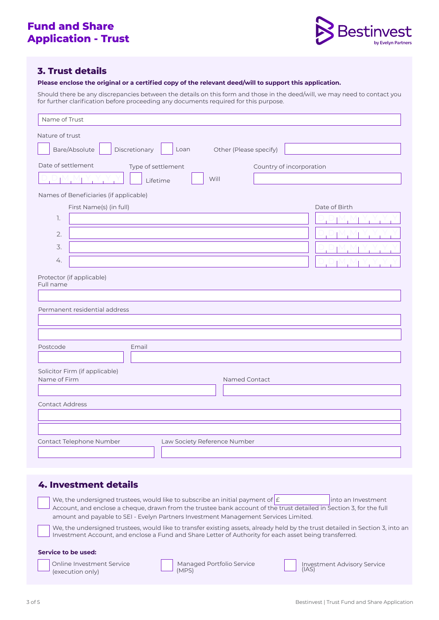

## **3. Trust details**

**Please enclose the original or a certified copy of the relevant deed/will to support this application.** 

Should there be any discrepancies between the details on this form and those in the deed/will, we may need to contact you for further clarification before proceeding any documents required for this purpose.

| Name of Trust                                                                                                                                        |  |  |  |
|------------------------------------------------------------------------------------------------------------------------------------------------------|--|--|--|
| Nature of trust<br>Bare/Absolute<br>Discretionary<br>Loan<br>Other (Please specify)                                                                  |  |  |  |
| Date of settlement<br>Type of settlement<br>Country of incorporation<br>Will<br>Lifetime                                                             |  |  |  |
| Names of Beneficiaries (if applicable)<br>First Name(s) (in full)<br>Date of Birth<br>1.<br>2.<br>3.<br>4.<br>Protector (if applicable)<br>Full name |  |  |  |
| Permanent residential address                                                                                                                        |  |  |  |
| Postcode<br>Email                                                                                                                                    |  |  |  |
| Solicitor Firm (if applicable)<br>Name of Firm<br>Named Contact                                                                                      |  |  |  |
| <b>Contact Address</b>                                                                                                                               |  |  |  |
| Contact Telephone Number<br>Law Society Reference Number                                                                                             |  |  |  |

## **4. Investment details**

(execution only)

**Service to be used:**  Online Investment Service We, the undersigned trustees, would like to subscribe an initial payment of  $\epsilon$  into an Investment Account, and enclose a cheque, drawn from the trustee bank account of the trust detailed in Section 3, for the full amount and payable to SEI - Evelyn Partners Investment Management Services Limited. We, the undersigned trustees, would like to transfer existing assets, already held by the trust detailed in Section 3, into an Investment Account, and enclose a Fund and Share Letter of Authority for each asset being transferred. Managed Portfolio Service Investment Advisory Service (IAS)

(MPS)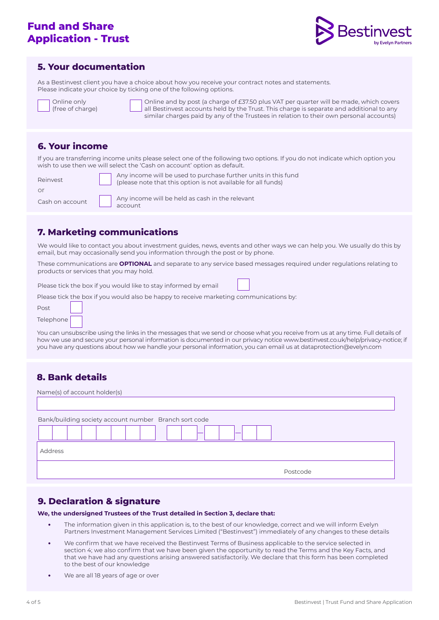# **Fund and Share Application - Trust**



#### **5. Your documentation**

charge)

As a Bestinvest client you have a choice about how you receive your contract notes and statements. Please indicate your choice by ticking one of the following options.

| <b>Online only</b> |
|--------------------|
| free of char       |

Online and by post (a charge of £37.50 plus VAT per quarter will be made, which covers all Bestinvest accounts held by the Trust. This charge is separate and additional to any similar charges paid by any of the Trustees in relation to their own personal accounts)

## **6. Your income**

If you are transferring income units please select one of the following two options. If you do not indicate which option you wish to use then we will select the 'Cash on account' option as default.

| Reinvest        |  |
|-----------------|--|
| or              |  |
| Cash on account |  |

Any income will be used to purchase further units in this fund (please note that this option is not available for all funds)

|  | Any income will be held as cash in the relevant |
|--|-------------------------------------------------|
|  | $\Box$ account                                  |

# **7. Marketing communications**

We would like to contact you about investment guides, news, events and other ways we can help you. We usually do this by email, but may occasionally send you information through the post or by phone.

These communications are **OPTIONAL** and separate to any service based messages required under regulations relating to products or services that you may hold.

Please tick the box if you would like to stay informed by email

Please tick the box if you would also be happy to receive marketing communications by:

| Post      |  |
|-----------|--|
| Telephone |  |

You can unsubscribe using the links in the messages that we send or choose what you receive from us at any time. Full details of how we use and secure your personal information is documented in our privacy notice <www.bestinvest.co.uk/help/privacy-notice;> if you have any questions about how we handle your personal information, you can email us at dataprotection@evelyn.com

## **8. Bank details**

| Name(s) of account holder(s)                          |  |  |
|-------------------------------------------------------|--|--|
|                                                       |  |  |
| Bank/building society account number Branch sort code |  |  |
|                                                       |  |  |
| Address                                               |  |  |
| Postcode                                              |  |  |

## **9. Declaration & signature**

**We, the undersigned Trustees of the Trust detailed in Section 3, declare that:** 

- **•** The information given in this application is, to the best of our knowledge, correct and we will inform Evelyn Partners Investment Management Services Limited ("Bestinvest") immediately of any changes to these details
- **•** We confirm that we have received the Bestinvest Terms of Business applicable to the service selected in section 4; we also confirm that we have been given the opportunity to read the Terms and the Key Facts, and that we have had any questions arising answered satisfactorily. We declare that this form has been completed to the best of our knowledge
- **•** We are all 18 years of age or over